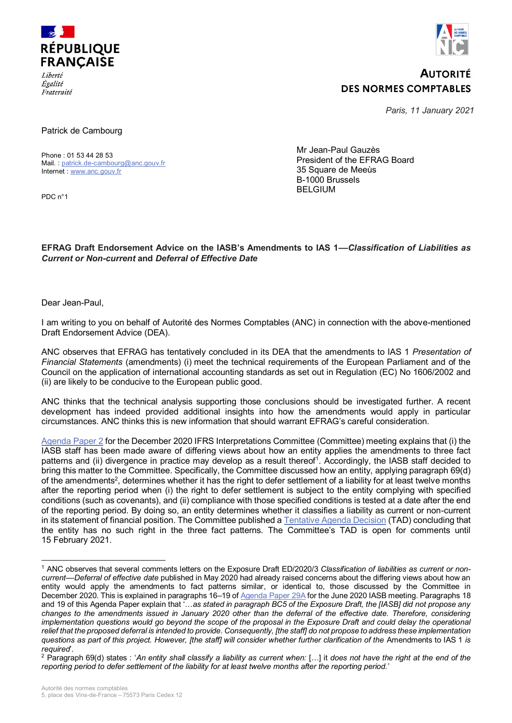

*Égalité* Fraternité



## **AUTORITÉ DES NORMES COMPTABLES**

*Paris, 11 January 2021* 

Patrick de Cambourg

Phone : 01 53 44 28 53 Mail. : [patrick.de-cambourg@anc.gouv.fr](mailto:patrick.de-cambourg@anc.gouv.fr) Internet : [www.anc.gouv.fr](http://www.anc.gouv.fr/)

PDC n°1

Mr Jean-Paul Gauzès President of the EFRAG Board 35 Square de Meeùs B-1000 Brussels BELGIUM

## **EFRAG Draft Endorsement Advice on the IASB's Amendments to IAS 1––***Classification of Liabilities as Current or Non-current* **and** *Deferral of Effective Date*

Dear Jean-Paul,

I am writing to you on behalf of Autorité des Normes Comptables (ANC) in connection with the above-mentioned Draft Endorsement Advice (DEA).

ANC observes that EFRAG has tentatively concluded in its DEA that the amendments to IAS 1 *Presentation of Financial Statements* (amendments) (i) meet the technical requirements of the European Parliament and of the Council on the application of international accounting standards as set out in Regulation (EC) No 1606/2002 and (ii) are likely to be conducive to the European public good.

ANC thinks that the technical analysis supporting those conclusions should be investigated further. A recent development has indeed provided additional insights into how the amendments would apply in particular circumstances. ANC thinks this is new information that should warrant EFRAG's careful consideration.

[Agenda Paper 2](https://cdn.ifrs.org/-/media/feature/meetings/2020/december/ifric/ap02-classification-of-debt-with-covenants-as-current-or-non-current-ias-1.pdf) for the December 2020 IFRS Interpretations Committee (Committee) meeting explains that (i) the IASB staff has been made aware of differing views about how an entity applies the amendments to three fact patterns and (ii) divergence in practice may develop as a result thereof<sup>1</sup>. Accordingly, the IASB staff decided to bring this matter to the Committee. Specifically, the Committee discussed how an entity, applying paragraph 69(d) of the amendments<sup>2</sup>, determines whether it has the right to defer settlement of a liability for at least twelve months after the reporting period when (i) the right to defer settlement is subject to the entity complying with specified conditions (such as covenants), and (ii) compliance with those specified conditions is tested at a date after the end of the reporting period. By doing so, an entity determines whether it classifies a liability as current or non-current in its statement of financial position. The Committee published a [Tentative Agenda Decision](https://www.ifrs.org/projects/work-plan/classification-of-debt-with-covenants-as-current-or-non-current-ias-1/comment-letters-projects/tentative-agenda-decision-and-comment-letters/) (TAD) concluding that the entity has no such right in the three fact patterns. The Committee's TAD is open for comments until 15 February 2021.

<sup>1</sup> ANC observes that several comments letters on the Exposure Draft ED/2020/3 *Classification of liabilities as current or noncurrent*––*Deferral of effective date* published in May 2020 had already raised concerns about the differing views about how an entity would apply the amendments to fact patterns similar, or identical to, those discussed by the Committee in December 2020. This is explained in paragraphs 16–19 o[f Agenda Paper 29A](https://cdn.ifrs.org/-/media/feature/meetings/2020/june/iasb/ap29a-classification-of-liabilities-as-current-or-non-current.pdf) for the June 2020 IASB meeting. Paragraphs 18 and 19 of this Agenda Paper explain that '…*as stated in paragraph BC5 of the Exposure Draft, the [IASB] did not propose any changes to the amendments issued in January 2020 other than the deferral of the effective date. Therefore, considering implementation questions would go beyond the scope of the proposal in the Exposure Draft and could delay the operational relief that the proposed deferral is intended to provide. Consequently, [the staff] do not propose to address these implementation questions as part of this project. However, [the staff] will consider whether further clarification of the* Amendments to IAS 1 *is required*'.

<sup>2</sup> Paragraph 69(d) states : '*An entity shall classify a liability as current when:* […] it *does not have the right at the end of the reporting period to defer settlement of the liability for at least twelve months after the reporting period.*'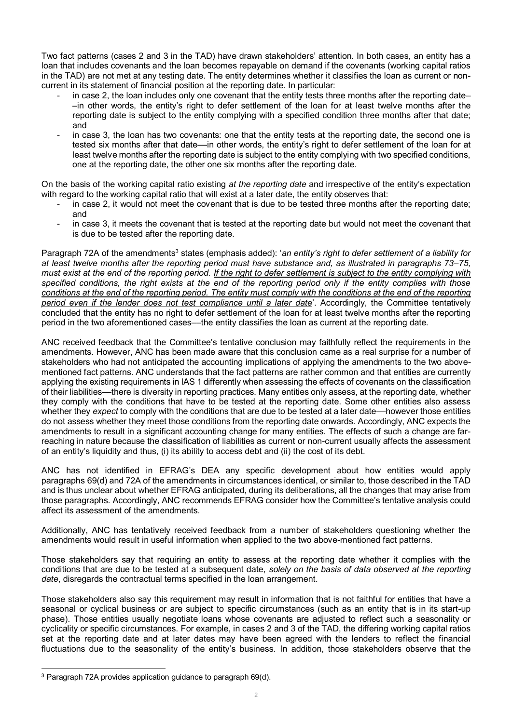Two fact patterns (cases 2 and 3 in the TAD) have drawn stakeholders' attention. In both cases, an entity has a loan that includes covenants and the loan becomes repayable on demand if the covenants (working capital ratios in the TAD) are not met at any testing date. The entity determines whether it classifies the loan as current or noncurrent in its statement of financial position at the reporting date. In particular:

- in case 2, the loan includes only one covenant that the entity tests three months after the reporting date– –in other words, the entity's right to defer settlement of the loan for at least twelve months after the reporting date is subject to the entity complying with a specified condition three months after that date; and
- in case 3, the loan has two covenants: one that the entity tests at the reporting date, the second one is tested six months after that date––in other words, the entity's right to defer settlement of the loan for at least twelve months after the reporting date is subject to the entity complying with two specified conditions, one at the reporting date, the other one six months after the reporting date.

On the basis of the working capital ratio existing *at the reporting date* and irrespective of the entity's expectation with regard to the working capital ratio that will exist at a later date, the entity observes that:

- in case 2, it would not meet the covenant that is due to be tested three months after the reporting date; and
- in case 3, it meets the covenant that is tested at the reporting date but would not meet the covenant that is due to be tested after the reporting date.

Paragraph 72A of the amendments<sup>3</sup> states (emphasis added): 'an entity's right to defer settlement of a liability for *at least twelve months after the reporting period must have substance and, as illustrated in paragraphs 73–75, must exist at the end of the reporting period. If the right to defer settlement is subject to the entity complying with specified conditions, the right exists at the end of the reporting period only if the entity complies with those conditions at the end of the reporting period. The entity must comply with the conditions at the end of the reporting period even if the lender does not test compliance until a later date*'. Accordingly, the Committee tentatively concluded that the entity has no right to defer settlement of the loan for at least twelve months after the reporting period in the two aforementioned cases––the entity classifies the loan as current at the reporting date.

ANC received feedback that the Committee's tentative conclusion may faithfully reflect the requirements in the amendments. However, ANC has been made aware that this conclusion came as a real surprise for a number of stakeholders who had not anticipated the accounting implications of applying the amendments to the two abovementioned fact patterns. ANC understands that the fact patterns are rather common and that entities are currently applying the existing requirements in IAS 1 differently when assessing the effects of covenants on the classification of their liabilities––there is diversity in reporting practices. Many entities only assess, at the reporting date, whether they comply with the conditions that have to be tested at the reporting date. Some other entities also assess whether they *expect* to comply with the conditions that are due to be tested at a later date––however those entities do not assess whether they meet those conditions from the reporting date onwards. Accordingly, ANC expects the amendments to result in a significant accounting change for many entities. The effects of such a change are farreaching in nature because the classification of liabilities as current or non-current usually affects the assessment of an entity's liquidity and thus, (i) its ability to access debt and (ii) the cost of its debt.

ANC has not identified in EFRAG's DEA any specific development about how entities would apply paragraphs 69(d) and 72A of the amendments in circumstances identical, or similar to, those described in the TAD and is thus unclear about whether EFRAG anticipated, during its deliberations, all the changes that may arise from those paragraphs. Accordingly, ANC recommends EFRAG consider how the Committee's tentative analysis could affect its assessment of the amendments.

Additionally, ANC has tentatively received feedback from a number of stakeholders questioning whether the amendments would result in useful information when applied to the two above-mentioned fact patterns.

Those stakeholders say that requiring an entity to assess at the reporting date whether it complies with the conditions that are due to be tested at a subsequent date, *solely on the basis of data observed at the reporting date*, disregards the contractual terms specified in the loan arrangement.

Those stakeholders also say this requirement may result in information that is not faithful for entities that have a seasonal or cyclical business or are subject to specific circumstances (such as an entity that is in its start-up phase). Those entities usually negotiate loans whose covenants are adjusted to reflect such a seasonality or cyclicality or specific circumstances. For example, in cases 2 and 3 of the TAD, the differing working capital ratios set at the reporting date and at later dates may have been agreed with the lenders to reflect the financial fluctuations due to the seasonality of the entity's business. In addition, those stakeholders observe that the

 <sup>3</sup> Paragraph 72A provides application guidance to paragraph 69(d).